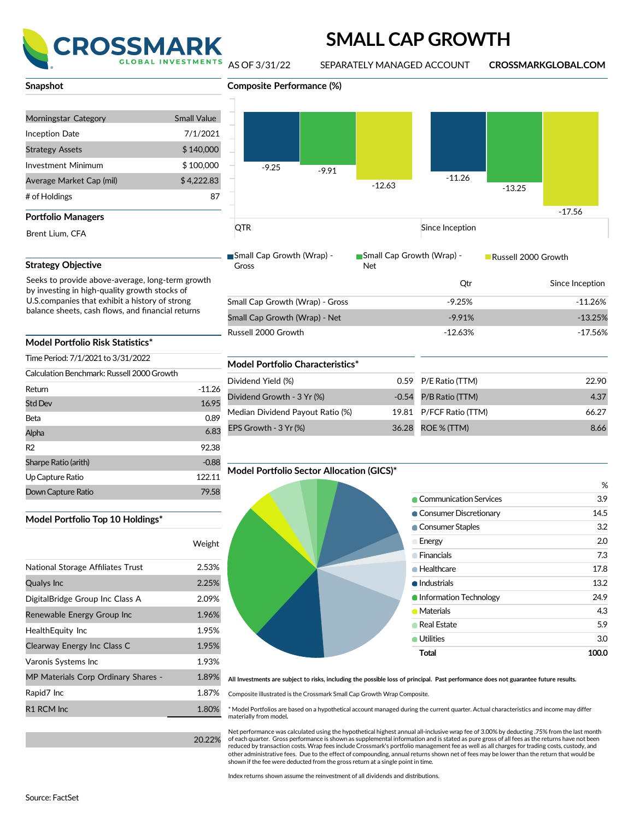

## **SMALL CAP GROWTH**

AS OF 3/31/22 SEPARATELY MANAGED ACCOUNT **CROSSMARKGLOBAL.COM**

-17.56

| Snapshot |  |  |
|----------|--|--|
|          |  |  |

| Morningstar Category     | <b>Small Value</b> |
|--------------------------|--------------------|
| Inception Date           | 7/1/2021           |
| <b>Strategy Assets</b>   | \$140,000          |
| Investment Minimum       | \$100,000          |
| Average Market Cap (mil) | \$4,222.83         |
| # of Holdings            | 87                 |
| Portfolio Managers       |                    |
| Brent Lium. CFA          |                    |

### **Strategy Objective**

Seeks to provide above-average, long-term growth

### **Model Portfolio Risk Statistics\***

**Model Portfolio Top 10 Holdings\***

National Storage Affiliates Trust

DigitalBridge Group Inc Class A Renewable Energy Group Inc

Qualys Inc

| Time Period: 7/1/2021 to 3/31/2022         |          |  |  |  |
|--------------------------------------------|----------|--|--|--|
| Calculation Benchmark: Russell 2000 Growth |          |  |  |  |
| Return                                     | $-11.26$ |  |  |  |
| <b>Std Dev</b>                             | 16.95    |  |  |  |
| Beta                                       | 0.89     |  |  |  |
| Alpha                                      | 6.83     |  |  |  |
| R <sub>2</sub>                             | 92.38    |  |  |  |
| Sharpe Ratio (arith)                       | $-0.88$  |  |  |  |
| Up Capture Ratio                           | 122.11   |  |  |  |
| Down Capture Ratio                         | 79.58    |  |  |  |

HealthEquity Inc 1.95% Clearway Energy Inc Class C 1.95% Varonis Systems Inc 1.93% MP Materials Corp Ordinary Shares - 1.89% Rapid7 Inc 2.87% R1 RCM Inc 2008 1.80%

# **Composite Performance (%)** -9.25 -11.26 -9.91 -12.63 -13.25

**QTR** Since Inception

Gross

Small Cap Growth (Wrap) - ■Small Cap Growth (Wrap) -Net

Russell 2000 Growth

|                                 | Otr       | Since Inception |
|---------------------------------|-----------|-----------------|
| Small Cap Growth (Wrap) - Gross | $-9.25%$  | $-11.26%$       |
| Small Cap Growth (Wrap) - Net   | $-9.91%$  | $-13.25%$       |
| Russell 2000 Growth             | $-12.63%$ | -17.56%         |

### **Model Portfolio Characteristics\***

|              | Dividend Yield (%)               | 0.59 P/E Ratio (TTM)    | 22.90 |
|--------------|----------------------------------|-------------------------|-------|
| 1.26<br>6.95 | Dividend Growth - 3 Yr (%)       | $-0.54$ P/B Ratio (TTM) | 4.37  |
| 0.89         | Median Dividend Payout Ratio (%) | 19.81 P/FCF Ratio (TTM) | 66.27 |
| 6.83         | EPS Growth - 3 Yr (%)            | 36.28 ROE % (TTM)       | 8.66  |

### **Model Portfolio Sector Allocation (GICS)\***



All Investments are subject to risks, including the possible loss of principal. Past performance does not guarantee future results.

Composite illustrated is the Crossmark Small Cap Growth Wrap Composite.

\* Model Portfolios are based on a hypothetical account managed during the current quarter. Actual characteristics and income may differ materially from model**.**

Net performance was calculated using the hypothetical highest annual all-inclusive wrap fee of 3.00% by deducting .75% from the last month of each quarter. Gross performance is shown as supplemental information and is stated as pure gross of all fees as the returns have not been reduced by transaction costs. Wrap fees include Crossmark's portfolio management fee as well as all charges for trading costs, custody, and other administrative fees. Due to the effect of compounding, annual returns shown net of fees may be lower than the return that would be shown if the fee were deducted from the gross return at a single point in time.

Index returns shown assume the reinvestment of all dividends and distributions.

by investing in high-quality growth stocks of U.S.companies that exhibit a history of strong balance sheets, cash flows, and financial returns

Weight

2.53% 2.25% 2.09% 1.96%

20.22%